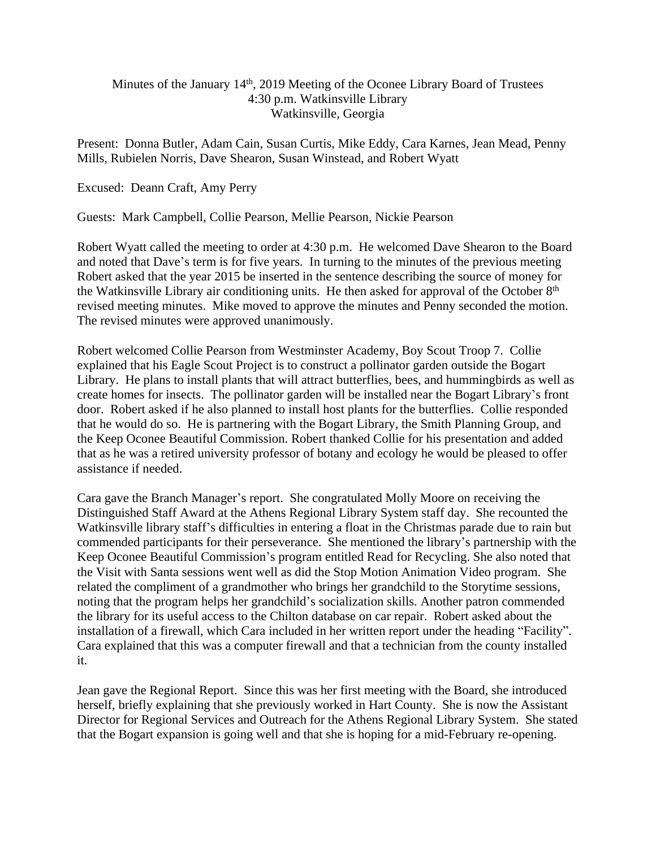## Minutes of the January  $14<sup>th</sup>$ , 2019 Meeting of the Oconee Library Board of Trustees 4:30 p.m. Watkinsville Library Watkinsville, Georgia

Present: Donna Butler, Adam Cain, Susan Curtis, Mike Eddy, Cara Karnes, Jean Mead, Penny Mills, Rubielen Norris, Dave Shearon, Susan Winstead, and Robert Wyatt

Excused: Deann Craft, Amy Perry

Guests: Mark Campbell, Collie Pearson, Mellie Pearson, Nickie Pearson

Robert Wyatt called the meeting to order at 4:30 p.m. He welcomed Dave Shearon to the Board and noted that Dave's term is for five years. In turning to the minutes of the previous meeting Robert asked that the year 2015 be inserted in the sentence describing the source of money for the Watkinsville Library air conditioning units. He then asked for approval of the October 8<sup>th</sup> revised meeting minutes. Mike moved to approve the minutes and Penny seconded the motion. The revised minutes were approved unanimously.

Robert welcomed Collie Pearson from Westminster Academy, Boy Scout Troop 7. Collie explained that his Eagle Scout Project is to construct a pollinator garden outside the Bogart Library. He plans to install plants that will attract butterflies, bees, and hummingbirds as well as create homes for insects. The pollinator garden will be installed near the Bogart Library's front door. Robert asked if he also planned to install host plants for the butterflies. Collie responded that he would do so. He is partnering with the Bogart Library, the Smith Planning Group, and the Keep Oconee Beautiful Commission. Robert thanked Collie for his presentation and added that as he was a retired university professor of botany and ecology he would be pleased to offer assistance if needed.

Cara gave the Branch Manager's report. She congratulated Molly Moore on receiving the Distinguished Staff Award at the Athens Regional Library System staff day. She recounted the Watkinsville library staff's difficulties in entering a float in the Christmas parade due to rain but commended participants for their perseverance. She mentioned the library's partnership with the Keep Oconee Beautiful Commission's program entitled Read for Recycling. She also noted that the Visit with Santa sessions went well as did the Stop Motion Animation Video program. She related the compliment of a grandmother who brings her grandchild to the Storytime sessions, noting that the program helps her grandchild's socialization skills. Another patron commended the library for its useful access to the Chilton database on car repair. Robert asked about the installation of a firewall, which Cara included in her written report under the heading "Facility". Cara explained that this was a computer firewall and that a technician from the county installed it.

Jean gave the Regional Report. Since this was her first meeting with the Board, she introduced herself, briefly explaining that she previously worked in Hart County. She is now the Assistant Director for Regional Services and Outreach for the Athens Regional Library System. She stated that the Bogart expansion is going well and that she is hoping for a mid-February re-opening.